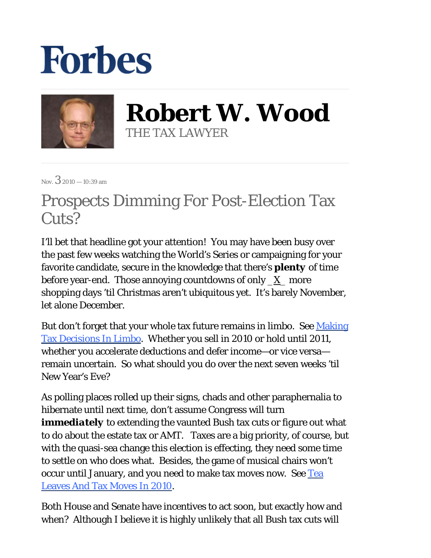## **Forbes**



**Robert W. Wood** THE TAX LAWYER

Nov.  $32010 - 10:39$  am

## Prospects Dimming For Post-Election Tax Cuts?

I'll bet that headline got your attention! You may have been busy over the past few weeks watching the World's Series or campaigning for your favorite candidate, secure in the knowledge that there's *plenty* of time before year-end. Those annoying countdowns of only  $X$  more shopping days 'til Christmas aren't ubiquitous yet. It's barely November, let alone December.

But don't forget that your whole tax future remains in limbo. See Making Tax Decisions In Limbo. Whether you sell in 2010 or hold until 2011, whether you accelerate deductions and defer income—or vice versa remain uncertain. So what should you do over the next seven weeks 'til New Year's Eve?

As polling places rolled up their signs, chads and other paraphernalia to hibernate until next time, don't assume Congress will turn *immediately* to extending the vaunted Bush tax cuts or figure out what to do about the estate tax or AMT. Taxes are a big priority, of course, but with the quasi-sea change this election is effecting, they need some time to settle on who does what. Besides, the game of musical chairs won't occur until January, and you need to make tax moves now. See Tea Leaves And Tax Moves In 2010.

Both House and Senate have incentives to act soon, but exactly how and when? Although I believe it is highly unlikely that all Bush tax cuts will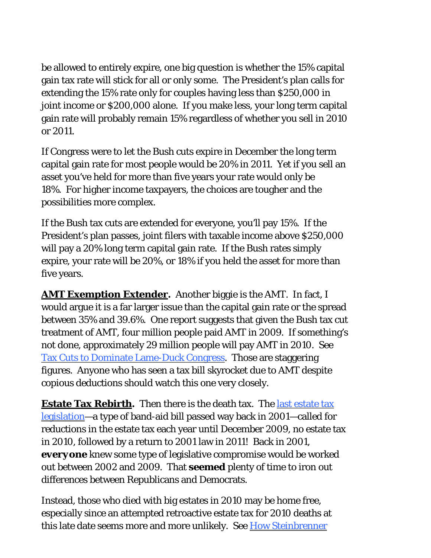be allowed to entirely expire, one big question is whether the 15% capital gain tax rate will stick for all or only some. The President's plan calls for extending the 15% rate only for couples having less than \$250,000 in joint income or \$200,000 alone. If you make less, your long term capital gain rate will probably remain 15% regardless of whether you sell in 2010 or 2011.

If Congress were to let the Bush cuts expire in December the long term capital gain rate for most people would be 20% in 2011. Yet if you sell an asset you've held for more than five years your rate would only be 18%. For higher income taxpayers, the choices are tougher and the possibilities more complex.

If the Bush tax cuts are extended for everyone, you'll pay 15%. If the President's plan passes, joint filers with taxable income above \$250,000 will pay a 20% long term capital gain rate. If the Bush rates simply expire, your rate will be 20%, or 18% if you held the asset for more than five years.

**AMT Exemption Extender***.* Another biggie is the AMT. In fact, I would argue it is a far larger issue than the capital gain rate or the spread between 35% and 39.6%. One report suggests that given the Bush tax cut treatment of AMT, four million people paid AMT in 2009. If something's not done, approximately 29 million people will pay AMT in 2010. See Tax Cuts to Dominate Lame-Duck Congress. Those are staggering figures. Anyone who has seen a tax bill skyrocket due to AMT despite copious deductions should watch this one very closely.

**Estate Tax Rebirth.** Then there is the death tax. The last estate tax legislation—a type of band-aid bill passed way back in 2001—called for reductions in the estate tax each year until December 2009, no estate tax in 2010, followed by a return to 2001 law in 2011! Back in 2001, *everyone* knew some type of legislative compromise would be worked out between 2002 and 2009. That *seemed* plenty of time to iron out differences between Republicans and Democrats.

Instead, those who died with big estates in 2010 may be home free, especially since an attempted retroactive estate tax for 2010 deaths at this late date seems more and more unlikely. See How Steinbrenner